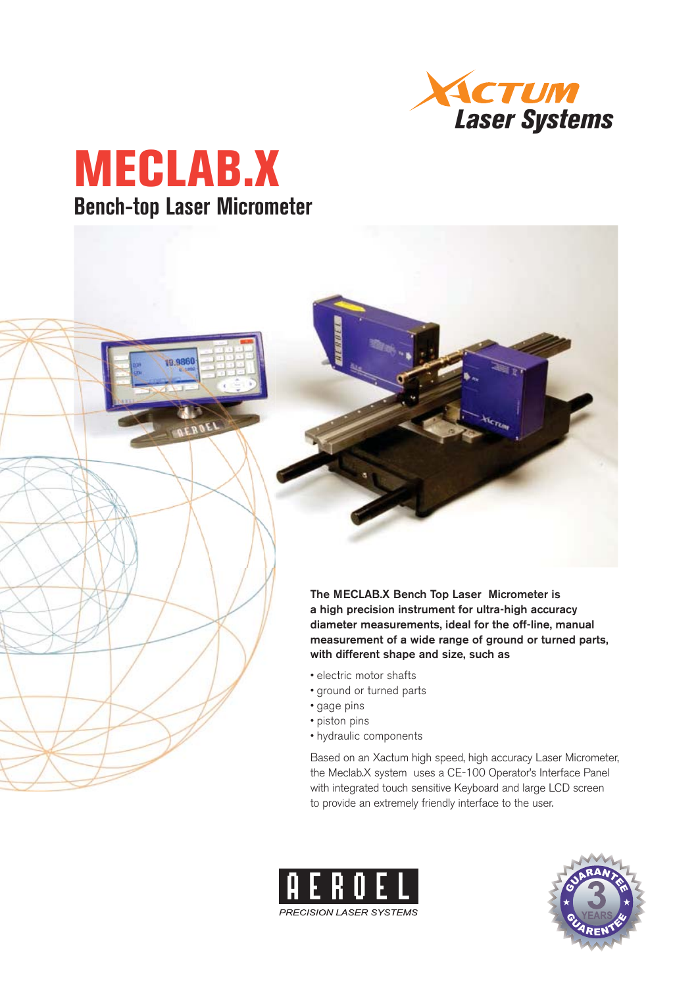



19,9860



- electric motor shafts
- ground or turned parts
- gage pins
- piston pins
- hydraulic components

Based on an Xactum high speed, high accuracy Laser Micrometer, the Meclab.X system uses a CE-100 Operator's Interface Panel with integrated touch sensitive Keyboard and large LCD screen to provide an extremely friendly interface to the user.



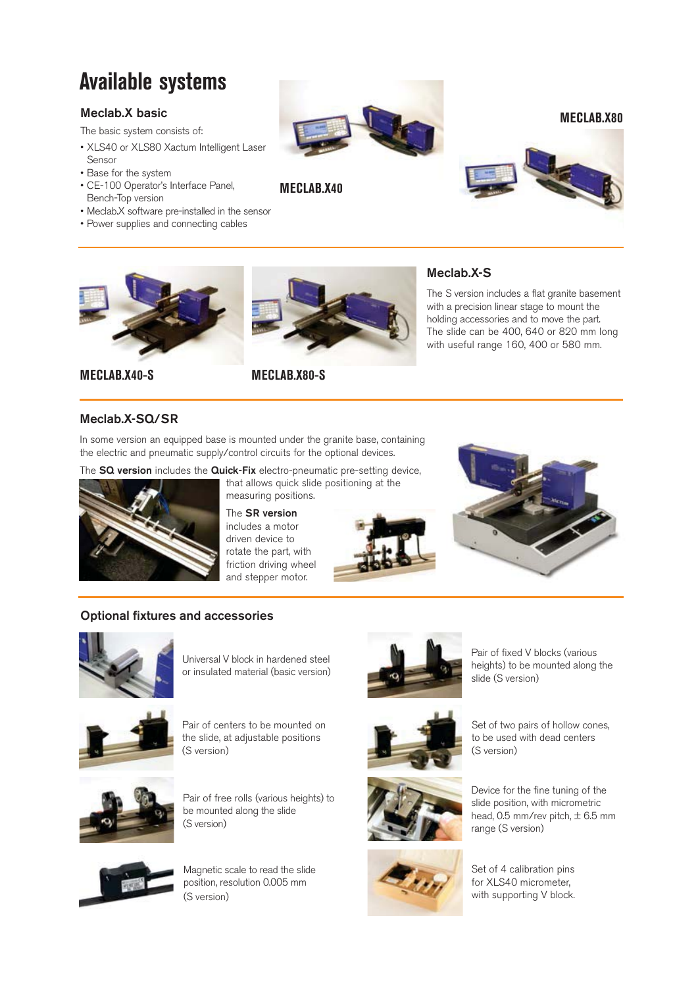# **Available systems**

### **Meclab.X basic**

The basic system consists of:

- XLS40 or XLS80 Xactum Intelligent Laser Sensor
- Base for the system
- CE-100 Operator's Interface Panel, Bench-Top version
- Meclab.X software pre-installed in the sensor
- Power supplies and connecting cables



**MECLAB.X80**





**MECLAB.X40-S MECLAB.X80-S**



**MECLAB.X40**

#### **Meclab.X-S**

The S version includes a flat granite basement with a precision linear stage to mount the holding accessories and to move the part. The slide can be 400, 640 or 820 mm long with useful range 160, 400 or 580 mm.

### **Meclab.X-SQ/SR**

In some version an equipped base is mounted under the granite base, containing the electric and pneumatic supply/control circuits for the optional devices.

The **SQ version** includes the **Quick-Fix** electro-pneumatic pre-setting device,



that allows quick slide positioning at the measuring positions.

The **SR version**  includes a motor driven device to rotate the part, with friction driving wheel and stepper motor.





#### **Optional fixtures and accessories**



Universal V block in hardened steel or insulated material (basic version)



Pair of centers to be mounted on the slide, at adjustable positions (S version)



Pair of free rolls (various heights) to be mounted along the slide (S version)



Magnetic scale to read the slide position, resolution 0.005 mm (S version)



Pair of fixed V blocks (various heights) to be mounted along the slide (S version)







Set of two pairs of hollow cones, to be used with dead centers (S version)

Device for the fine tuning of the slide position, with micrometric head,  $0.5$  mm/rev pitch,  $\pm$  6.5 mm range (S version)

Set of 4 calibration pins for XLS40 micrometer, with supporting V block.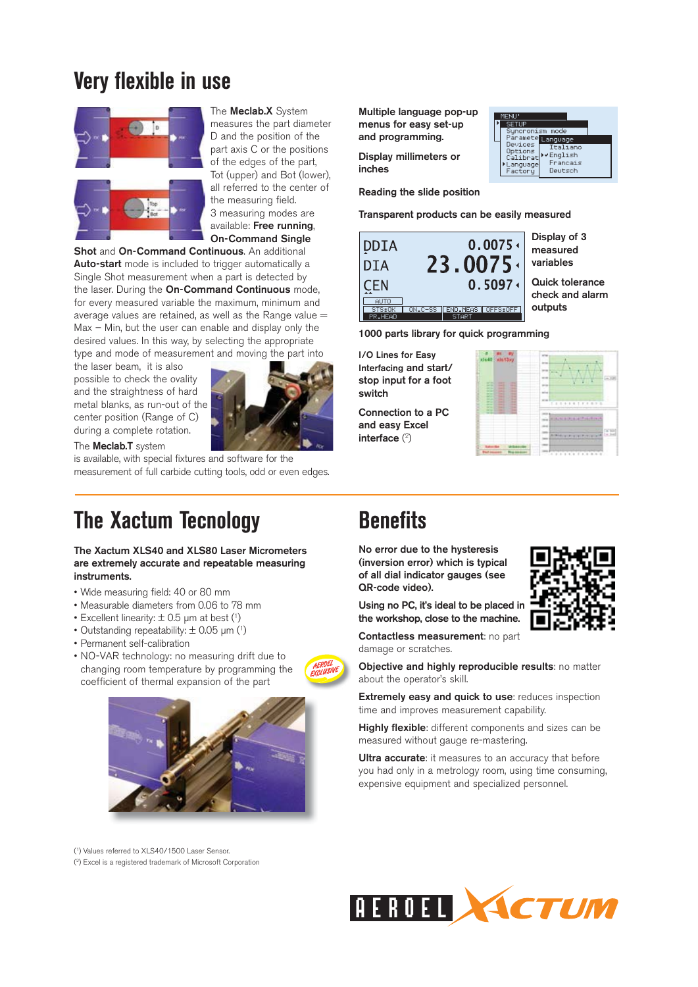## **Very flexible in use**



The **Meclab.X** System measures the part diameter D and the position of the part axis C or the positions of the edges of the part, Tot (upper) and Bot (lower), all referred to the center of the measuring field. 3 measuring modes are available: **Free running**, **On-Command Single** 

**Shot** and **On-Command Continuous**. An additional **Auto-start** mode is included to trigger automatically a Single Shot measurement when a part is detected by the laser. During the **On-Command Continuous** mode, for every measured variable the maximum, minimum and average values are retained, as well as the Range value  $=$ Max – Min, but the user can enable and display only the desired values. In this way, by selecting the appropriate type and mode of measurement and moving the part into

the laser beam, it is also possible to check the ovality and the straightness of hard metal blanks, as run-out of the center position (Range of C) during a complete rotation.



The **Meclab.T** system

is available, with special fixtures and software for the measurement of full carbide cutting tools, odd or even edges.

## **The Xactum Tecnology**

**The Xactum XLS40 and XLS80 Laser Micrometers are extremely accurate and repeatable measuring instruments.**

- Wide measuring field: 40 or 80 mm
- Measurable diameters from 0.06 to 78 mm
- Excellent linearity:  $\pm$  0.5 µm at best (1)
- Outstanding repeatability:  $\pm$  0.05 µm (1)
- Permanent self-calibration
- NO-VAR technology: no measuring drift due to changing room temperature by programming the coefficient of thermal expansion of the part



( 1) Values referred to XLS40/1500 Laser Sensor.

( 2) Excel is a registered trademark of Microsoft Corporation

**Multiple language pop-up menus for easy set-up and programming.**

**Display millimeters or inches**

**Reading the slide position** 

**Transparent products can be easily measured** 

Syncron<br>Maramet<br>Nevice:

Options<br>Calibra

anguag<br>actory

Language

English Francais

Deutsch



**1000 parts library for quick programming**

**I/O Lines for Easy Interfacing and start/ stop input for a foot switch**

**Connection to a PC and easy Excel interface** ( 2 )

| ٠<br><br><br>T.<br>٠<br>s<br>٠<br>-<br>s.<br>٠<br>--<br>Ì<br><b><i><u>Programment</u></i></b><br>٠<br>ï<br>ı<br>÷<br>٠<br>h dar<br>٠<br><b>College College</b><br>۰<br>$\sim$<br>×. | state alathout<br>$\sim$<br>$-$<br><b>STATISTICS</b><br>-<br>ш<br>$\overline{\phantom{a}}$<br>٠<br>侮<br><b>Mark</b><br>-<br>۲<br>-<br><br>Ĭ<br>B<br>$\sim$<br>-<br><b>ACCO</b><br>-<br>٠<br>-<br><br>۰<br>٠<br>-<br>۰<br>- | ×<br>h.<br>$1 - 4$<br>$-1$<br>٠<br>٠<br>÷<br>me t<br>111111111<br>т<br>$\sim$<br>×<br>$\lambda$ |
|-------------------------------------------------------------------------------------------------------------------------------------------------------------------------------------|----------------------------------------------------------------------------------------------------------------------------------------------------------------------------------------------------------------------------|-------------------------------------------------------------------------------------------------|
|                                                                                                                                                                                     |                                                                                                                                                                                                                            |                                                                                                 |

## **Benefits**

**No error due to the hysteresis (inversion error) which is typical of all dial indicator gauges (see QR-code video).** 

**Using no PC, it's ideal to be placed in the workshop, close to the machine.**

**Contactless measurement**: no part damage or scratches.

**Objective and highly reproducible results**: no matter about the operator's skill.

**Extremely easy and quick to use**: reduces inspection time and improves measurement capability.

**Highly flexible**: different components and sizes can be measured without gauge re-mastering.

**Ultra accurate**: it measures to an accuracy that before you had only in a metrology room, using time consuming, expensive equipment and specialized personnel.